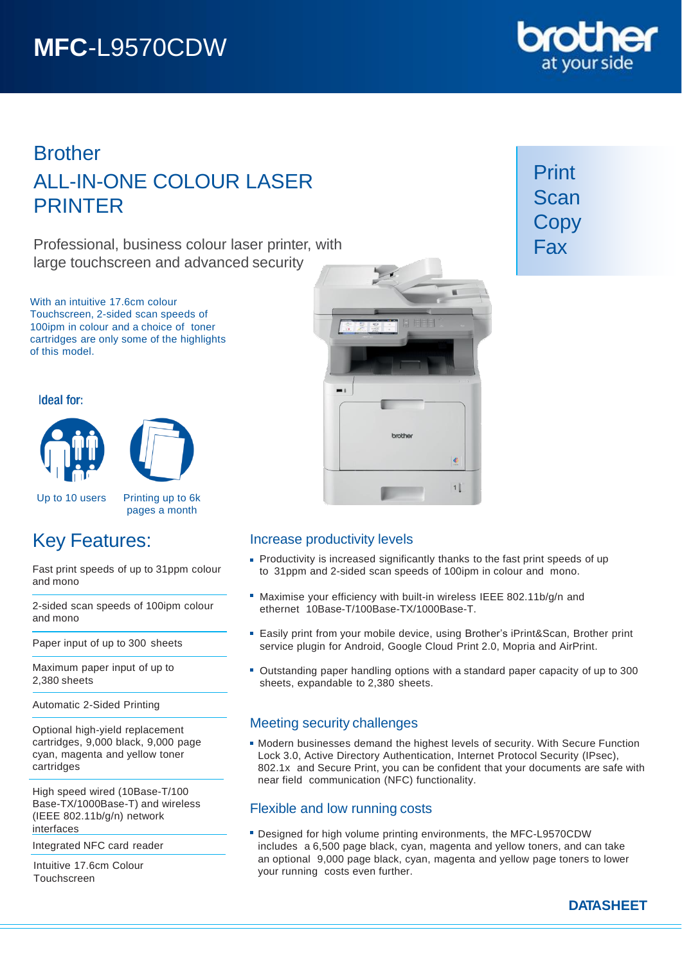# **MFC**-L9570CDW

# **Brother** ALL-IN-ONE COLOUR LASER PRINTER

Professional, business colour laser printer, with large touchscreen and advanced security

With an intuitive 17.6cm colour Touchscreen, 2-sided scan speeds of 100ipm in colour and a choice of toner cartridges are only some of the highlights of this model.

# Ideal for:





Up to 10 users Printing up to 6k

pages a month

# Key Features:

Fast print speeds of up to 31ppm colour and mono

2-sided scan speeds of 100ipm colour and mono

Paper input of up to 300 sheets

Maximum paper input of up to 2,380 sheets

Automatic 2-Sided Printing

Optional high-yield replacement cartridges, 9,000 black, 9,000 page cyan, magenta and yellow toner cartridges

High speed wired (10Base-T/100 Base-TX/1000Base-T) and wireless (IEEE 802.11b/g/n) network interfaces

Integrated NFC card reader

Intuitive 17.6cm Colour Touchscreen



# brother ¢  $1|$

# Increase productivity levels

- **Productivity is increased significantly thanks to the fast print speeds of up** to 31ppm and 2-sided scan speeds of 100ipm in colour and mono.
- Maximise your efficiency with built-in wireless IEEE 802.11b/g/n and ethernet 10Base-T/100Base-TX/1000Base-T.
- **Easily print from your mobile device, using Brother's iPrint&Scan, Brother print** service plugin for Android, Google Cloud Print 2.0, Mopria and AirPrint.
- Outstanding paper handling options with a standard paper capacity of up to 300 sheets, expandable to 2,380 sheets.

# Meeting security challenges

Modern businesses demand the highest levels of security. With Secure Function Lock 3.0, Active Directory Authentication, Internet Protocol Security (IPsec), 802.1x and Secure Print, you can be confident that your documents are safe with near field communication (NFC) functionality.

# Flexible and low running costs

Designed for high volume printing environments, the MFC-L9570CDW includes a 6,500 page black, cyan, magenta and yellow toners, and can take an optional 9,000 page black, cyan, magenta and yellow page toners to lower your running costs even further.

Print Scan **Copy** Fax

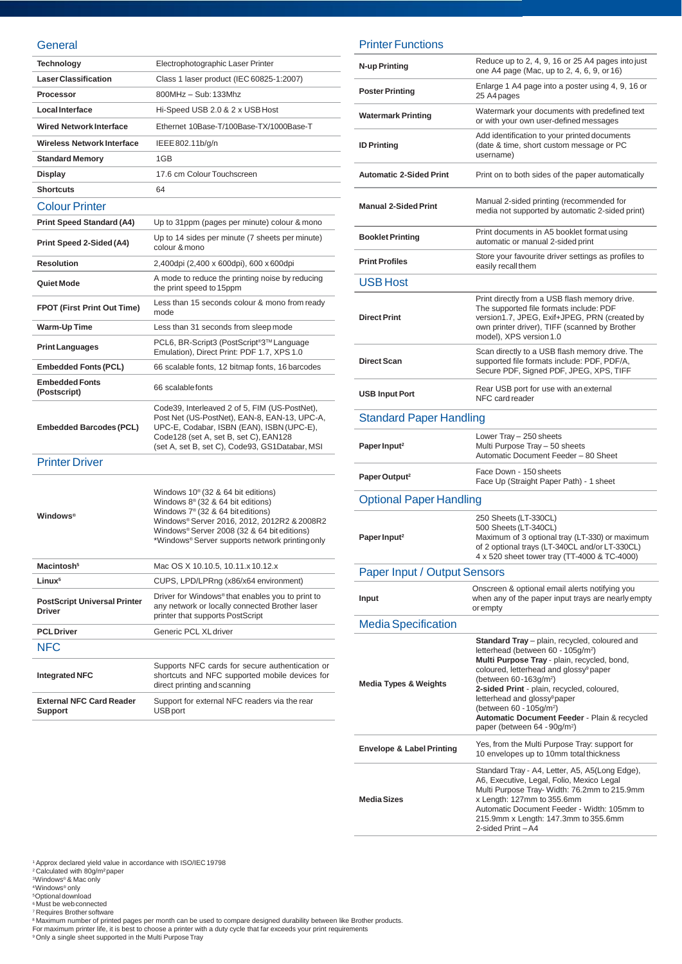#### **General**

| Technology                                           | Electrophotographic Laser Printer                                                                                                                                                                                                                                                             |
|------------------------------------------------------|-----------------------------------------------------------------------------------------------------------------------------------------------------------------------------------------------------------------------------------------------------------------------------------------------|
| <b>Laser Classification</b>                          | Class 1 laser product (IEC 60825-1:2007)                                                                                                                                                                                                                                                      |
| Processor                                            | 800MHz - Sub: 133Mhz                                                                                                                                                                                                                                                                          |
| Local Interface                                      | Hi-Speed USB 2.0 & 2 x USB Host                                                                                                                                                                                                                                                               |
| <b>Wired Network Interface</b>                       | Ethernet 10Base-T/100Base-TX/1000Base-T                                                                                                                                                                                                                                                       |
| Wireless Network Interface                           | IEEE 802.11b/g/n                                                                                                                                                                                                                                                                              |
| <b>Standard Memory</b>                               | 1GB                                                                                                                                                                                                                                                                                           |
| Display                                              | 17.6 cm Colour Touchscreen                                                                                                                                                                                                                                                                    |
| <b>Shortcuts</b>                                     | 64                                                                                                                                                                                                                                                                                            |
| <b>Colour Printer</b>                                |                                                                                                                                                                                                                                                                                               |
| <b>Print Speed Standard (A4)</b>                     | Up to 31ppm (pages per minute) colour & mono                                                                                                                                                                                                                                                  |
| Print Speed 2-Sided (A4)                             | Up to 14 sides per minute (7 sheets per minute)<br>colour & mono                                                                                                                                                                                                                              |
| <b>Resolution</b>                                    | 2,400dpi (2,400 x 600dpi), 600 x 600dpi                                                                                                                                                                                                                                                       |
| Quiet Mode                                           | A mode to reduce the printing noise by reducing<br>the print speed to 15ppm                                                                                                                                                                                                                   |
| <b>FPOT (First Print Out Time)</b>                   | Less than 15 seconds colour & mono from ready<br>mode                                                                                                                                                                                                                                         |
| Warm-Up Time                                         | Less than 31 seconds from sleep mode                                                                                                                                                                                                                                                          |
| <b>Print Languages</b>                               | PCL6, BR-Script3 (PostScript®3™ Language<br>Emulation), Direct Print: PDF 1.7, XPS 1.0                                                                                                                                                                                                        |
| <b>Embedded Fonts (PCL)</b>                          | 66 scalable fonts, 12 bitmap fonts, 16 barcodes                                                                                                                                                                                                                                               |
| <b>Embedded Fonts</b><br>(Postscript)                | 66 scalable fonts                                                                                                                                                                                                                                                                             |
| <b>Embedded Barcodes (PCL)</b>                       | Code39, Interleaved 2 of 5, FIM (US-PostNet),<br>Post Net (US-PostNet), EAN-8, EAN-13, UPC-A,<br>UPC-E, Codabar, ISBN (EAN), ISBN (UPC-E),<br>Code128 (set A, set B, set C), EAN128<br>(set A, set B, set C), Code93, GS1Databar, MSI                                                         |
| <b>Printer Driver</b>                                |                                                                                                                                                                                                                                                                                               |
| <b>Windows®</b>                                      | Windows 10 <sup>®</sup> (32 & 64 bit editions)<br>Windows $8^{\circ}$ (32 & 64 bit editions)<br>Windows 7 <sup>®</sup> (32 & 64 bit editions)<br>Windows® Server 2016, 2012, 2012R2 & 2008R2<br>Windows® Server 2008 (32 & 64 bit editions)<br>*Windows® Server supports network printingonly |
| Macintosh <sup>5</sup>                               | Mac OS X 10.10.5, 10.11.x 10.12.x                                                                                                                                                                                                                                                             |
| Linux <sup>5</sup>                                   | CUPS, LPD/LPRng (x86/x64 environment)                                                                                                                                                                                                                                                         |
| <b>PostScript Universal Printer</b><br><b>Driver</b> | Driver for Windows®that enables you to print to<br>any network or locally connected Brother laser<br>printer that supports PostScript                                                                                                                                                         |
| <b>PCL Driver</b>                                    | Generic PCL XL driver                                                                                                                                                                                                                                                                         |
| <b>NFC</b>                                           |                                                                                                                                                                                                                                                                                               |
| <b>Integrated NFC</b>                                | Supports NFC cards for secure authentication or<br>shortcuts and NFC supported mobile devices for<br>direct printing and scanning                                                                                                                                                             |
| <b>External NFC Card Reader</b><br><b>Support</b>    | Support for external NFC readers via the rear<br><b>USB</b> port                                                                                                                                                                                                                              |
|                                                      |                                                                                                                                                                                                                                                                                               |

## Printer Functions

| N-up Printing                        | Reduce up to 2, 4, 9, 16 or 25 A4 pages into just<br>one A4 page (Mac, up to 2, 4, 6, 9, or 16)                                                                                                                                                                                                                                                                                                                                                                        |
|--------------------------------------|------------------------------------------------------------------------------------------------------------------------------------------------------------------------------------------------------------------------------------------------------------------------------------------------------------------------------------------------------------------------------------------------------------------------------------------------------------------------|
| <b>Poster Printing</b>               | Enlarge 1 A4 page into a poster using 4, 9, 16 or<br>25 A4 pages                                                                                                                                                                                                                                                                                                                                                                                                       |
| <b>Watermark Printing</b>            | Watermark your documents with predefined text<br>or with your own user-defined messages                                                                                                                                                                                                                                                                                                                                                                                |
| <b>ID Printing</b>                   | Add identification to your printed documents<br>(date & time, short custom message or PC<br>username)                                                                                                                                                                                                                                                                                                                                                                  |
| <b>Automatic 2-Sided Print</b>       | Print on to both sides of the paper automatically                                                                                                                                                                                                                                                                                                                                                                                                                      |
| <b>Manual 2-Sided Print</b>          | Manual 2-sided printing (recommended for<br>media not supported by automatic 2-sided print)                                                                                                                                                                                                                                                                                                                                                                            |
| <b>Booklet Printing</b>              | Print documents in A5 booklet format using<br>automatic or manual 2-sided print                                                                                                                                                                                                                                                                                                                                                                                        |
| <b>Print Profiles</b>                | Store your favourite driver settings as profiles to<br>easily recall them                                                                                                                                                                                                                                                                                                                                                                                              |
| <b>USB Host</b>                      |                                                                                                                                                                                                                                                                                                                                                                                                                                                                        |
| <b>Direct Print</b>                  | Print directly from a USB flash memory drive.<br>The supported file formats include: PDF<br>version1.7, JPEG, Exif+JPEG, PRN (created by<br>own printer driver), TIFF (scanned by Brother<br>model), XPS version 1.0                                                                                                                                                                                                                                                   |
| <b>Direct Scan</b>                   | Scan directly to a USB flash memory drive. The<br>supported file formats include: PDF, PDF/A,<br>Secure PDF, Signed PDF, JPEG, XPS, TIFF                                                                                                                                                                                                                                                                                                                               |
| <b>USB Input Port</b>                | Rear USB port for use with an external<br>NFC card reader                                                                                                                                                                                                                                                                                                                                                                                                              |
| <b>Standard Paper Handling</b>       |                                                                                                                                                                                                                                                                                                                                                                                                                                                                        |
| Paper Input <sup>2</sup>             | Lower Tray - 250 sheets<br>Multi Purpose Tray - 50 sheets<br>Automatic Document Feeder - 80 Sheet                                                                                                                                                                                                                                                                                                                                                                      |
| Paper Output <sup>2</sup>            | Face Down - 150 sheets<br>Face Up (Straight Paper Path) - 1 sheet                                                                                                                                                                                                                                                                                                                                                                                                      |
| <b>Optional Paper Handling</b>       |                                                                                                                                                                                                                                                                                                                                                                                                                                                                        |
| Paper Input <sup>2</sup>             | 250 Sheets (LT-330CL)<br>500 Sheets (LT-340CL)<br>Maximum of 3 optional tray (LT-330) or maximum<br>of 2 optional trays (LT-340CL and/or LT-330CL)<br>4 x 520 sheet tower tray (TT-4000 & TC-4000)                                                                                                                                                                                                                                                                     |
| <b>Paper Input / Output Sensors</b>  |                                                                                                                                                                                                                                                                                                                                                                                                                                                                        |
| Input                                | Onscreen & optional email alerts notifying you<br>when any of the paper input trays are nearly empty<br>orempty                                                                                                                                                                                                                                                                                                                                                        |
| <b>Media Specification</b>           |                                                                                                                                                                                                                                                                                                                                                                                                                                                                        |
| <b>Media Types &amp; Weights</b>     | Standard Tray - plain, recycled, coloured and<br>letterhead (between 60 - 105g/m <sup>2</sup> )<br>Multi Purpose Tray - plain, recycled, bond,<br>coloured, letterhead and glossy <sup>9</sup> paper<br>(between 60-163g/m <sup>2</sup> )<br>2-sided Print - plain, recycled, coloured,<br>letterhead and glossy <sup>9</sup> paper<br>(between 60 - 105g/m <sup>2</sup> )<br>Automatic Document Feeder - Plain & recycled<br>paper (between 64 - 90g/m <sup>2</sup> ) |
| <b>Envelope &amp; Label Printing</b> | Yes, from the Multi Purpose Tray: support for<br>10 envelopes up to 10mm total thickness                                                                                                                                                                                                                                                                                                                                                                               |
| <b>Media Sizes</b>                   | Standard Tray - A4, Letter, A5, A5(Long Edge),<br>A6, Executive, Legal, Folio, Mexico Legal<br>Multi Purpose Tray- Width: 76.2mm to 215.9mm<br>x Length: 127mm to 355.6mm<br>Automatic Document Feeder - Width: 105mm to<br>215.9mm x Length: 147.3mm to 355.6mm<br>2-sided Print-A4                                                                                                                                                                                   |

<sup>1</sup> Approx declared yield value in accordance with ISO/IEC 19798<br><sup>2</sup> Calculated with 80g/m<sup>2</sup>paper<br><sup>3</sup>Windows® & Mac only<br><sup>4</sup> Windows® only<br><sup>6</sup> Must be web connected<br><sup>7</sup> Requires Brother software

®Maximum number of printed pages per month can be used to compare designed durability between like Brother products.<br>For maximum printer life, it is best to choose a printer with a duty cycle that far exceeds your print r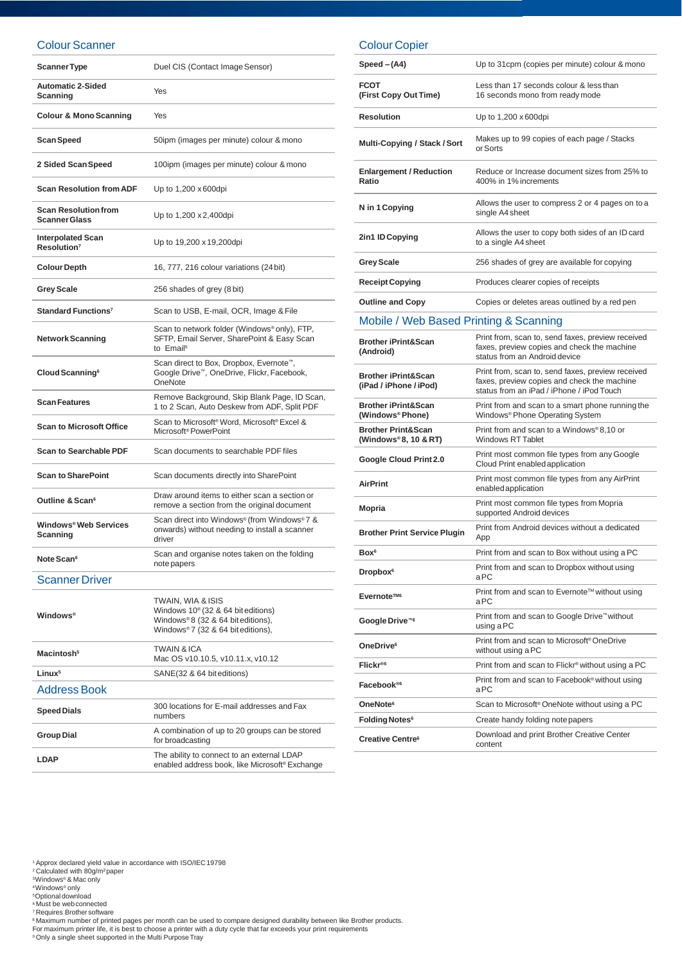#### Colour Scanner

| <b>Scanner Type</b>                                 | Duel CIS (Contact Image Sensor)                                                                                                               |
|-----------------------------------------------------|-----------------------------------------------------------------------------------------------------------------------------------------------|
| <b>Automatic 2-Sided</b><br>Scanning                | Yes                                                                                                                                           |
| <b>Colour &amp; Mono Scanning</b>                   | Yes                                                                                                                                           |
| Scan Speed                                          | 50ipm (images per minute) colour & mono                                                                                                       |
| 2 Sided Scan Speed                                  | 100ipm (images per minute) colour & mono                                                                                                      |
| <b>Scan Resolution from ADF</b>                     | Up to 1,200 x 600 dpi                                                                                                                         |
| <b>Scan Resolution from</b><br><b>Scanner Glass</b> | Up to 1,200 x 2,400 dpi                                                                                                                       |
| <b>Interpolated Scan</b><br>Resolution <sup>7</sup> | Up to 19,200 x 19,200dpi                                                                                                                      |
| <b>Colour Depth</b>                                 | 16, 777, 216 colour variations (24 bit)                                                                                                       |
| <b>Grey Scale</b>                                   | 256 shades of grey (8 bit)                                                                                                                    |
| Standard Functions <sup>7</sup>                     | Scan to USB, E-mail, OCR, Image & File                                                                                                        |
| <b>Network Scanning</b>                             | Scan to network folder (Windows®only), FTP,<br>SFTP, Email Server, SharePoint & Easy Scan<br>to Email <sup>6</sup>                            |
| Cloud Scanning <sup>6</sup>                         | Scan direct to Box, Dropbox, Evernote <sup>™</sup> ,<br>Google Drive™, OneDrive, Flickr, Facebook,<br>OneNote                                 |
| <b>Scan Features</b>                                | Remove Background, Skip Blank Page, ID Scan,<br>1 to 2 Scan, Auto Deskew from ADF, Split PDF                                                  |
| <b>Scan to Microsoft Office</b>                     | Scan to Microsoft <sup>®</sup> Word, Microsoft® Excel &<br>Microsoft <sup>®</sup> PowerPoint                                                  |
| <b>Scan to Searchable PDF</b>                       | Scan documents to searchable PDF files                                                                                                        |
| <b>Scan to SharePoint</b>                           | Scan documents directly into SharePoint                                                                                                       |
| Outline & Scan <sup>6</sup>                         | Draw around items to either scan a section or<br>remove a section from the original document                                                  |
| Windows® Web Services<br>Scanning                   | Scan direct into Windows® (from Windows®7 &<br>onwards) without needing to install a scanner<br>driver                                        |
| Note Scan <sup>6</sup>                              | Scan and organise notes taken on the folding<br>note papers                                                                                   |
| <b>Scanner Driver</b>                               |                                                                                                                                               |
| <b>Windows</b> <sup>®</sup>                         | TWAIN, WIA & ISIS<br>Windows 10 <sup>®</sup> (32 & 64 bit editions)<br>Windows®8 (32 & 64 bit editions),<br>Windows®7 (32 & 64 bit editions), |
| Macintosh <sup>5</sup>                              | TWAIN & ICA<br>Mac OS v10.10.5, v10.11.x, v10.12                                                                                              |
| Linux <sup>5</sup>                                  | SANE(32 & 64 bit editions)                                                                                                                    |
| <b>Address Book</b>                                 |                                                                                                                                               |

| $Speed - (A4)$               | Up to 31cpm (copies per minute) colour & mono |
|------------------------------|-----------------------------------------------|
| <b>FCOT</b>                  | Less than 17 seconds colour & less than       |
| $\Gamma$ iret Cony Qut Timo) | 16 coconde mono from roadumodo                |

Colour Copier

| <b>FCOT</b><br>(First Copy Out Time)                     | Less than 17 seconds colour & less than<br>16 seconds mono from ready mode                                                                    |
|----------------------------------------------------------|-----------------------------------------------------------------------------------------------------------------------------------------------|
| <b>Resolution</b>                                        | Up to 1,200 x 600dpi                                                                                                                          |
| Multi-Copying / Stack / Sort                             | Makes up to 99 copies of each page / Stacks<br>or Sorts                                                                                       |
| <b>Enlargement / Reduction</b><br>Ratio                  | Reduce or Increase document sizes from 25% to<br>400% in 1% increments                                                                        |
| N in 1 Copying                                           | Allows the user to compress 2 or 4 pages on to a<br>single A4 sheet                                                                           |
| 2in1 ID Copying                                          | Allows the user to copy both sides of an ID card<br>to a single A4 sheet                                                                      |
| <b>Grey Scale</b>                                        | 256 shades of grey are available for copying                                                                                                  |
| <b>Receipt Copying</b>                                   | Produces clearer copies of receipts                                                                                                           |
| <b>Outline and Copy</b>                                  | Copies or deletes areas outlined by a red pen                                                                                                 |
| Mobile / Web Based Printing & Scanning                   |                                                                                                                                               |
| <b>Brother iPrint&amp;Scan</b><br>(Android)              | Print from, scan to, send faxes, preview received<br>faxes, preview copies and check the machine<br>status from an Android device             |
| <b>Brother iPrint&amp;Scan</b><br>(iPad / iPhone / iPod) | Print from, scan to, send faxes, preview received<br>faxes, preview copies and check the machine<br>status from an iPad / iPhone / iPod Touch |
| <b>Brother iPrint&amp;Scan</b><br>(Windows®Phone)        | Print from and scan to a smart phone running the<br>Windows <sup>®</sup> Phone Operating System                                               |
| <b>Brother Print&amp;Scan</b><br>(Windows®8, 10 & RT)    | Print from and scan to a Windows®8,10 or<br><b>Windows RT Tablet</b>                                                                          |
| Google Cloud Print 2.0                                   | Print most common file types from any Google<br>Cloud Print enabled application                                                               |
| <b>AirPrint</b>                                          | Print most common file types from any AirPrint<br>enabled application                                                                         |
| Mopria                                                   | Print most common file types from Mopria<br>supported Android devices                                                                         |
| <b>Brother Print Service Plugin</b>                      | Print from Android devices without a dedicated<br>App                                                                                         |
| Box <sup>6</sup>                                         | Print from and scan to Box without using a PC                                                                                                 |
| Dropbox <sup>6</sup>                                     | Print from and scan to Dropbox without using<br>aPC                                                                                           |
| Evernote <sup>™6</sup>                                   | Print from and scan to Evernote™ without using<br>aPC                                                                                         |
| Google Drive <sup>™6</sup>                               | Print from and scan to Google Drive™ without<br>using a PC                                                                                    |
| OneDrive <sup>6</sup>                                    | Print from and scan to Microsoft <sup>®</sup> OneDrive<br>without using a PC                                                                  |
| Flickr®6                                                 | Print from and scan to Flickr® without using a PC                                                                                             |
| Facebook <sup>®6</sup>                                   | Print from and scan to Facebook® without using<br>aPC                                                                                         |
| OneNote <sup>6</sup>                                     | Scan to Microsoft <sup>®</sup> OneNote without using a PC                                                                                     |
| <b>Folding Notes<sup>6</sup></b>                         | Create handy folding note papers                                                                                                              |
| <b>Creative Centre®</b>                                  | Download and print Brother Creative Center<br>content                                                                                         |

<sup>1</sup>Approx declared yield value in accordance with ISO/IEC19798 <sup>2</sup>Calculated with 80g/m²paper

**Speed Dials** 300 locations for E-mail addresses and Fax numbers **Group Dial** A combination of up to 20 groups can be stored for broadcasting **LDAP** The ability to connect to an external LDAP

<sup>3</sup>Windows® & Mac only <sup>4</sup>Windows® only

<sup>5</sup>Optional download <sup>6</sup>Must be webconnected

<sup>7</sup>Requires Brother software

®Maximum number of printed pages per month can be used to compare designed durability between like Brother products.<br>For maximum printer life, it is best to choose a printer with a duty cycle that far exceeds your print re

enabled address book, like Microsoft® Exchange

<sup>9</sup> Only a single sheet supported in the Multi Purpose Tray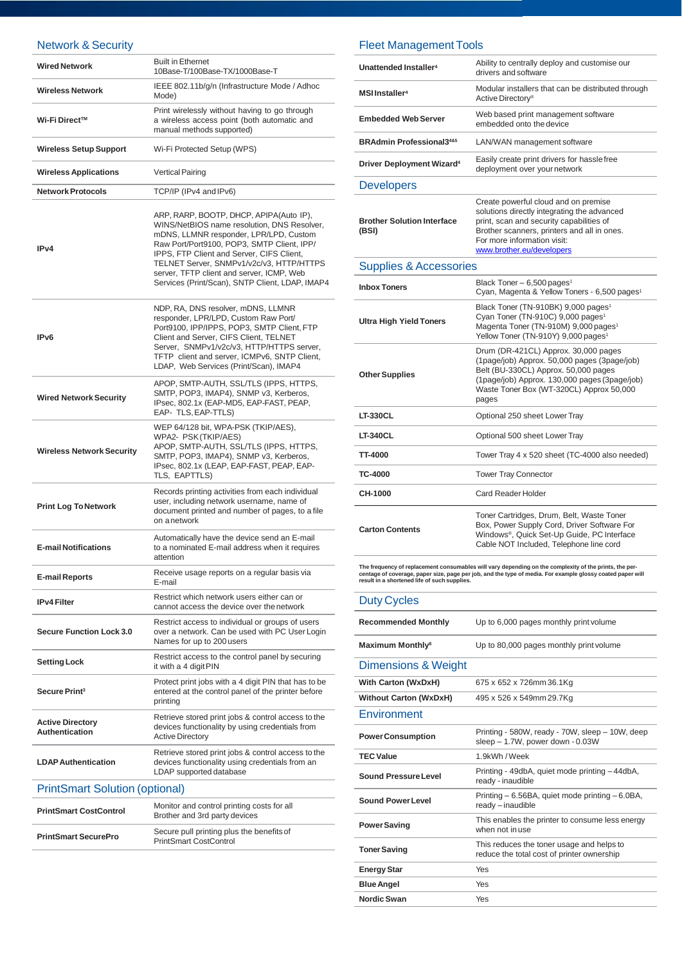## Network & Security

| <b>Wired Network</b>                             | <b>Built in Ethernet</b><br>10Base-T/100Base-TX/1000Base-T                                                                                                                                                                                                                                                                                                              |
|--------------------------------------------------|-------------------------------------------------------------------------------------------------------------------------------------------------------------------------------------------------------------------------------------------------------------------------------------------------------------------------------------------------------------------------|
| <b>Wireless Network</b>                          | IEEE 802.11b/g/n (Infrastructure Mode / Adhoc<br>Mode)                                                                                                                                                                                                                                                                                                                  |
| Wi-Fi Direct™                                    | Print wirelessly without having to go through<br>a wireless access point (both automatic and<br>manual methods supported)                                                                                                                                                                                                                                               |
| <b>Wireless Setup Support</b>                    | Wi-Fi Protected Setup (WPS)                                                                                                                                                                                                                                                                                                                                             |
| <b>Wireless Applications</b>                     | <b>Vertical Pairing</b>                                                                                                                                                                                                                                                                                                                                                 |
| <b>Network Protocols</b>                         | TCP/IP (IPv4 and IPv6)                                                                                                                                                                                                                                                                                                                                                  |
| IP <sub>v4</sub>                                 | ARP, RARP, BOOTP, DHCP, APIPA(Auto IP),<br>WINS/NetBIOS name resolution, DNS Resolver,<br>mDNS, LLMNR responder, LPR/LPD, Custom<br>Raw Port/Port9100, POP3, SMTP Client, IPP/<br>IPPS, FTP Client and Server, CIFS Client,<br>TELNET Server, SNMPv1/v2c/v3, HTTP/HTTPS<br>server. TFTP client and server. ICMP. Web<br>Services (Print/Scan), SNTP Client, LDAP, IMAP4 |
| IP <sub>v6</sub>                                 | NDP, RA, DNS resolver, mDNS, LLMNR<br>responder, LPR/LPD, Custom Raw Port/<br>Port9100, IPP/IPPS, POP3, SMTP Client, FTP<br>Client and Server, CIFS Client, TELNET<br>Server, SNMPv1/v2c/v3, HTTP/HTTPS server,<br>TFTP client and server, ICMPv6, SNTP Client,<br>LDAP, Web Services (Print/Scan), IMAP4                                                               |
| <b>Wired Network Security</b>                    | APOP, SMTP-AUTH, SSL/TLS (IPPS, HTTPS,<br>SMTP, POP3, IMAP4), SNMP v3, Kerberos,<br>IPsec, 802.1x (EAP-MD5, EAP-FAST, PEAP,<br>EAP- TLS, EAP-TTLS)                                                                                                                                                                                                                      |
| <b>Wireless Network Security</b>                 | WEP 64/128 bit, WPA-PSK (TKIP/AES),<br>WPA2- PSK (TKIP/AES)<br>APOP, SMTP-AUTH, SSL/TLS (IPPS, HTTPS,<br>SMTP, POP3, IMAP4), SNMP v3, Kerberos,<br>IPsec, 802.1x (LEAP, EAP-FAST, PEAP, EAP-<br>TLS, EAPTTLS)                                                                                                                                                           |
| <b>Print Log To Network</b>                      | Records printing activities from each individual<br>user, including network username, name of<br>document printed and number of pages, to a file<br>on a network                                                                                                                                                                                                        |
| <b>E-mail Notifications</b>                      | Automatically have the device send an E-mail<br>to a nominated E-mail address when it requires<br>attention                                                                                                                                                                                                                                                             |
| <b>E-mail Reports</b>                            | Receive usage reports on a regular basis via<br>E-mail                                                                                                                                                                                                                                                                                                                  |
| <b>IPv4 Filter</b>                               | Restrict which network users either can or<br>cannot access the device over the network                                                                                                                                                                                                                                                                                 |
| <b>Secure Function Lock 3.0</b>                  | Restrict access to individual or groups of users<br>over a network. Can be used with PC User Login<br>Names for up to 200 users                                                                                                                                                                                                                                         |
| <b>Setting Lock</b>                              | Restrict access to the control panel by securing<br>it with a 4 digit PIN                                                                                                                                                                                                                                                                                               |
| Secure Print <sup>3</sup>                        | Protect print jobs with a 4 digit PIN that has to be<br>entered at the control panel of the printer before<br>printing                                                                                                                                                                                                                                                  |
| <b>Active Directory</b><br><b>Authentication</b> | Retrieve stored print jobs & control access to the<br>devices functionality by using credentials from<br><b>Active Directory</b>                                                                                                                                                                                                                                        |
| <b>LDAP Authentication</b>                       | Retrieve stored print jobs & control access to the<br>devices functionality using credentials from an<br>LDAP supported database                                                                                                                                                                                                                                        |
| <b>PrintSmart Solution (optional)</b>            |                                                                                                                                                                                                                                                                                                                                                                         |
| <b>PrintSmart CostControl</b>                    | Monitor and control printing costs for all<br>Brother and 3rd party devices                                                                                                                                                                                                                                                                                             |
| <b>PrintSmart SecurePro</b>                      | Secure pull printing plus the benefits of<br><b>PrintSmart CostControl</b>                                                                                                                                                                                                                                                                                              |

## Fleet Management Tools

| Unattended Installer <sup>4</sup>           | Ability to centrally deploy and customise our<br>drivers and software                                                                                                                                                                      |
|---------------------------------------------|--------------------------------------------------------------------------------------------------------------------------------------------------------------------------------------------------------------------------------------------|
| MSI Installer <sup>4</sup>                  | Modular installers that can be distributed through<br>Active Directory <sup>®</sup>                                                                                                                                                        |
| <b>Embedded Web Server</b>                  | Web based print management software<br>embedded onto the device                                                                                                                                                                            |
| <b>BRAdmin Professional3485</b>             | LAN/WAN management software                                                                                                                                                                                                                |
| <b>Driver Deployment Wizard<sup>4</sup></b> | Easily create print drivers for hassle free<br>deployment over your network                                                                                                                                                                |
| <b>Developers</b>                           |                                                                                                                                                                                                                                            |
| <b>Brother Solution Interface</b><br>(BSI)  | Create powerful cloud and on premise<br>solutions directly integrating the advanced<br>print, scan and security capabilities of<br>Brother scanners, printers and all in ones.<br>For more information visit:<br>www.brother.eu/developers |
| <b>Supplies &amp; Accessories</b>           |                                                                                                                                                                                                                                            |
| <b>Inbox Toners</b>                         | Black Toner - 6,500 pages <sup>1</sup><br>Cyan, Magenta & Yellow Toners - 6,500 pages <sup>1</sup>                                                                                                                                         |
| <b>Ultra High Yield Toners</b>              | Black Toner (TN-910BK) 9,000 pages <sup>1</sup><br>Cyan Toner (TN-910C) 9,000 pages <sup>1</sup><br>Magenta Toner (TN-910M) 9,000 pages <sup>1</sup><br>Yellow Toner (TN-910Y) 9,000 pages <sup>1</sup>                                    |
| <b>Other Supplies</b>                       | Drum (DR-421CL) Approx. 30,000 pages<br>(1page/job) Approx. 50,000 pages (3page/job)<br>Belt (BU-330CL) Approx. 50,000 pages<br>(1page/job) Approx. 130,000 pages (3page/job)<br>Waste Toner Box (WT-320CL) Approx 50,000<br>pages         |
| <b>LT-330CL</b>                             | Optional 250 sheet Lower Tray                                                                                                                                                                                                              |
| <b>LT-340CL</b>                             | Optional 500 sheet Lower Tray                                                                                                                                                                                                              |
| <b>TT-4000</b>                              | Tower Tray 4 x 520 sheet (TC-4000 also needed)                                                                                                                                                                                             |
| TC-4000                                     | <b>Tower Tray Connector</b>                                                                                                                                                                                                                |
| CH-1000                                     | <b>Card Reader Holder</b>                                                                                                                                                                                                                  |
| <b>Carton Contents</b>                      | Toner Cartridges, Drum, Belt, Waste Toner<br>Box, Power Supply Cord, Driver Software For<br>Windows <sup>®</sup> , Quick Set-Up Guide, PC Interface<br>Cable NOT Included, Telephone line cord                                             |

The frequency of replacement consumables will vary depending on the complexity of the prints, the per-<br>centage of coverage, paper size, page per job, and the type of media. For example glossy coated paper will<br>result in a

| <b>Duty Cycles</b>                 |                                                                                         |
|------------------------------------|-----------------------------------------------------------------------------------------|
| <b>Recommended Monthly</b>         | Up to 6,000 pages monthly print volume                                                  |
| <b>Maximum Monthly<sup>8</sup></b> | Up to 80,000 pages monthly print volume                                                 |
| Dimensions & Weight                |                                                                                         |
| With Carton (WxDxH)                | 675 x 652 x 726mm 36.1Kg                                                                |
| <b>Without Carton (WxDxH)</b>      | 495 x 526 x 549mm 29.7Kg                                                                |
| Environment                        |                                                                                         |
| <b>Power Consumption</b>           | Printing - 580W, ready - 70W, sleep - 10W, deep<br>sleep - 1.7W, power down - 0.03W     |
| <b>TEC Value</b>                   | 1.9kWh / Week                                                                           |
| Sound Pressure Level               | Printing - 49dbA, quiet mode printing - 44dbA,<br>ready - inaudible                     |
| <b>Sound Power Level</b>           | Printing - 6.56BA, quiet mode printing - 6.0BA,<br>ready - inaudible                    |
| <b>Power Saving</b>                | This enables the printer to consume less energy<br>when not in use                      |
| <b>Toner Saving</b>                | This reduces the toner usage and helps to<br>reduce the total cost of printer ownership |
| <b>Energy Star</b>                 | Yes                                                                                     |
| <b>Blue Angel</b>                  | Yes                                                                                     |
| Nordic Swan                        | Yes                                                                                     |